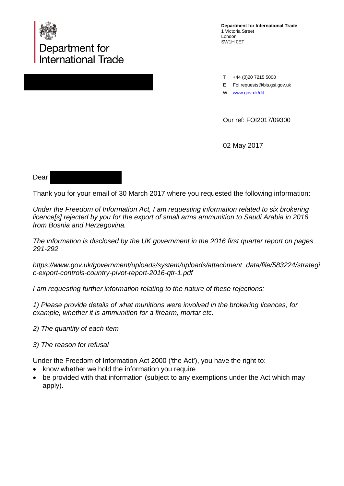

**Department for International Trade** 1 Victoria Street London SW1H 0ET

T +44 (0)20 7215 5000

E Foi.requests@bis.gsi.gov.uk

W [www.gov.uk/d](http://www.gov.uk/)it

Our ref: FOI2017/09300

02 May 2017

## Dear

Thank you for your email of 30 March 2017 where you requested the following information:

*Under the Freedom of Information Act, I am requesting information related to six brokering licence[s] rejected by you for the export of small arms ammunition to Saudi Arabia in 2016 from Bosnia and Herzegovina.*

*The information is disclosed by the UK government in the 2016 first quarter report on pages 291-292*

*https://www.gov.uk/government/uploads/system/uploads/attachment\_data/file/583224/strategi c-export-controls-country-pivot-report-2016-qtr-1.pdf*

*I am requesting further information relating to the nature of these rejections:*

*1) Please provide details of what munitions were involved in the brokering licences, for example, whether it is ammunition for a firearm, mortar etc.*

- *2) The quantity of each item*
- *3) The reason for refusal*

Under the Freedom of Information Act 2000 ('the Act'), you have the right to:

- know whether we hold the information you require
- be provided with that information (subject to any exemptions under the Act which may apply).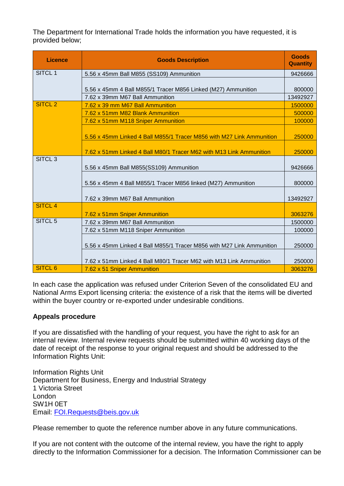The Department for International Trade holds the information you have requested, it is provided below;

| <b>Licence</b>     | <b>Goods Description</b>                                              | <b>Goods</b><br><b>Quantity</b> |
|--------------------|-----------------------------------------------------------------------|---------------------------------|
| SITCL <sub>1</sub> | 5.56 x 45mm Ball M855 (SS109) Ammunition                              | 9426666                         |
|                    |                                                                       |                                 |
|                    | 5.56 x 45mm 4 Ball M855/1 Tracer M856 Linked (M27) Ammunition         | 800000                          |
|                    | 7.62 x 39mm M67 Ball Ammunition                                       | 13492927                        |
| <b>SITCL 2</b>     | 7.62 x 39 mm M67 Ball Ammunition                                      | 1500000                         |
|                    | 7.62 x 51mm M82 Blank Ammunition                                      | 500000                          |
|                    | 7.62 x 51mm M118 Sniper Ammunition                                    | 100000                          |
|                    |                                                                       |                                 |
|                    | 5.56 x 45mm Linked 4 Ball M855/1 Tracer M856 with M27 Link Ammunition | 250000                          |
|                    | 7.62 x 51mm Linked 4 Ball M80/1 Tracer M62 with M13 Link Ammunition   | 250000                          |
| SITCL <sub>3</sub> |                                                                       |                                 |
|                    | 5.56 x 45mm Ball M855(SS109) Ammunition                               | 9426666                         |
|                    | 5.56 x 45mm 4 Ball M855/1 Tracer M856 linked (M27) Ammunition         | 800000                          |
|                    | 7.62 x 39mm M67 Ball Ammunition                                       | 13492927                        |
| <b>SITCL 4</b>     |                                                                       |                                 |
|                    | 7.62 x 51mm Sniper Ammunition                                         | 3063276                         |
| SITCL <sub>5</sub> | 7.62 x 39mm M67 Ball Ammunition                                       | 1500000                         |
|                    | 7.62 x 51mm M118 Sniper Ammunition                                    | 100000                          |
|                    | 5.56 x 45mm Linked 4 Ball M855/1 Tracer M856 with M27 Link Ammunition | 250000                          |
|                    | 7.62 x 51mm Linked 4 Ball M80/1 Tracer M62 with M13 Link Ammunition   | 250000                          |
| <b>SITCL 6</b>     | 7.62 x 51 Sniper Ammunition                                           | 3063276                         |

In each case the application was refused under Criterion Seven of the consolidated EU and National Arms Export licensing criteria: the existence of a risk that the items will be diverted within the buyer country or re-exported under undesirable conditions.

## **Appeals procedure**

If you are dissatisfied with the handling of your request, you have the right to ask for an internal review. Internal review requests should be submitted within 40 working days of the date of receipt of the response to your original request and should be addressed to the Information Rights Unit:

Information Rights Unit Department for Business, Energy and Industrial Strategy 1 Victoria Street London SW1H 0ET Email: [FOI.Requests@beis.gov.uk](mailto:FOI.Requests@beis.gov.uk)

Please remember to quote the reference number above in any future communications.

If you are not content with the outcome of the internal review, you have the right to apply directly to the Information Commissioner for a decision. The Information Commissioner can be